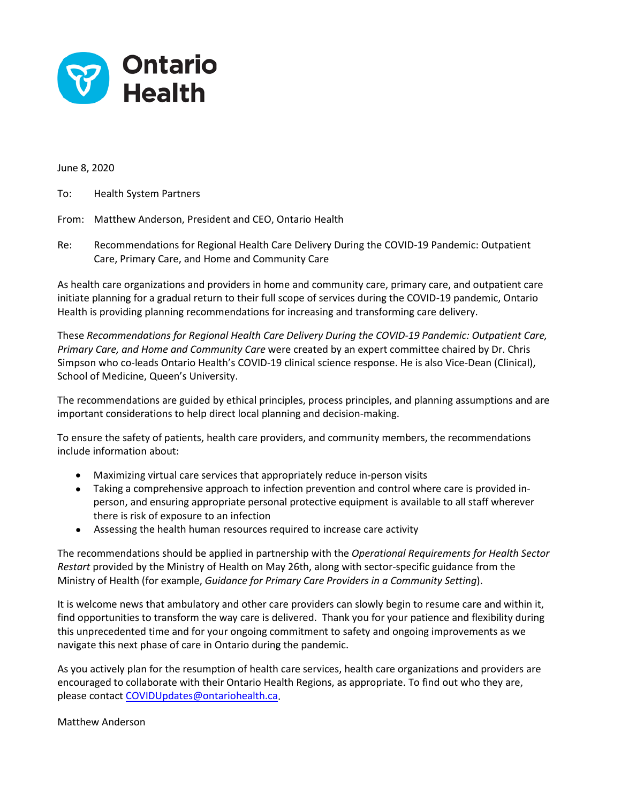

June 8, 2020

To: Health System Partners

#### From: Matthew Anderson, President and CEO, Ontario Health

Re: Recommendations for Regional Health Care Delivery During the COVID-19 Pandemic: Outpatient Care, Primary Care, and Home and Community Care

As health care organizations and providers in home and community care, primary care, and outpatient care initiate planning for a gradual return to their full scope of services during the COVID-19 pandemic, Ontario Health is providing planning recommendations for increasing and transforming care delivery.

These *Recommendations for Regional Health Care Delivery During the COVID-19 Pandemic: Outpatient Care, Primary Care, and Home and Community Care* were created by an expert committee chaired by Dr. Chris Simpson who co-leads Ontario Health's COVID-19 clinical science response. He is also Vice-Dean (Clinical), School of Medicine, Queen's University.

The recommendations are guided by ethical principles, process principles, and planning assumptions and are important considerations to help direct local planning and decision-making.

To ensure the safety of patients, health care providers, and community members, the recommendations include information about:

- Maximizing virtual care services that appropriately reduce in-person visits
- Taking a comprehensive approach to infection prevention and control where care is provided inperson, and ensuring appropriate personal protective equipment is available to all staff wherever there is risk of exposure to an infection
- Assessing the health human resources required to increase care activity

The recommendations should be applied in partnership with the *Operational Requirements for Health Sector Restart* provided by the Ministry of Health on May 26th, along with sector-specific guidance from the Ministry of Health (for example, *Guidance for Primary Care Providers in a Community Setting*).

It is welcome news that ambulatory and other care providers can slowly begin to resume care and within it, find opportunities to transform the way care is delivered. Thank you for your patience and flexibility during this unprecedented time and for your ongoing commitment to safety and ongoing improvements as we navigate this next phase of care in Ontario during the pandemic.

As you actively plan for the resumption of health care services, health care organizations and providers are encouraged to collaborate with their Ontario Health Regions, as appropriate. To find out who they are, please contact [COVIDUpdates@ontariohealth.ca.](mailto:COVIDUpdates@ontariohealth.ca)

#### Matthew Anderson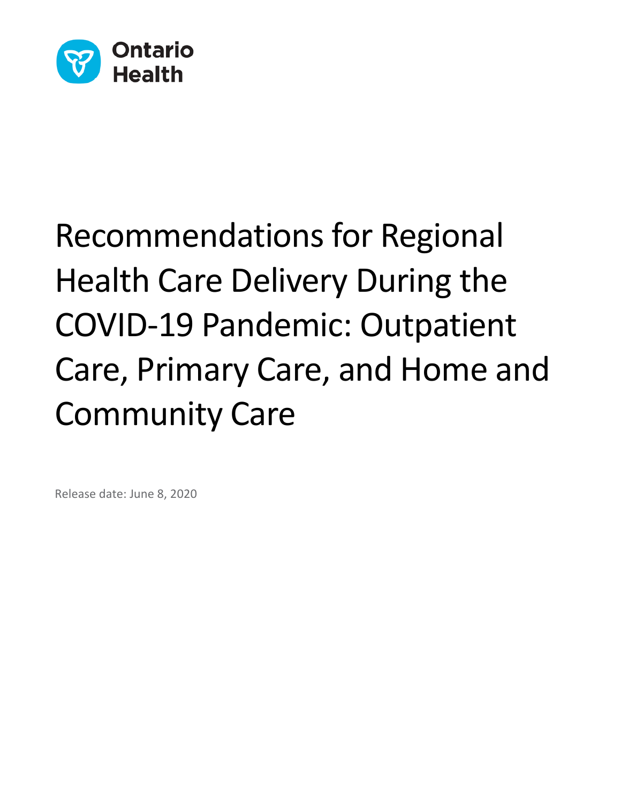

# Recommendations for Regional Health Care Delivery During the COVID-19 Pandemic: Outpatient Care, Primary Care, and Home and Community Care

Release date: June 8, 2020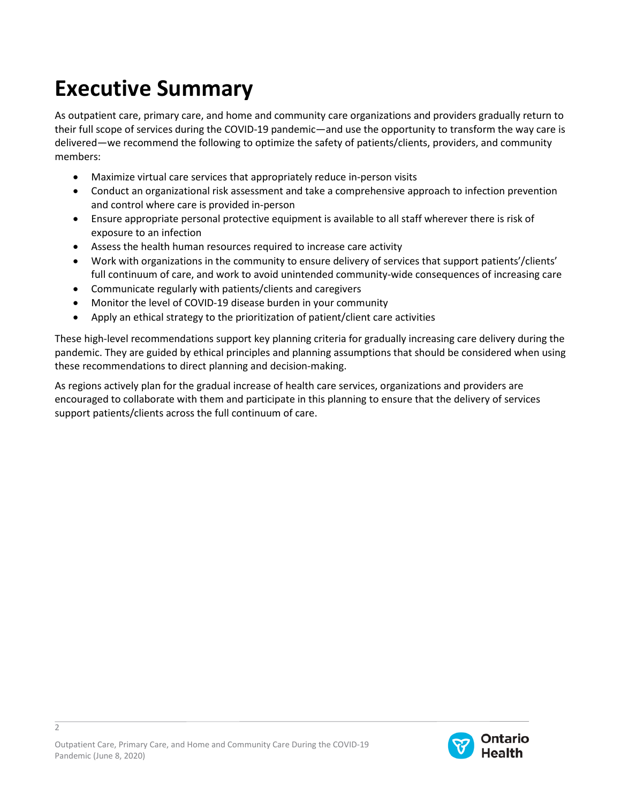# **Executive Summary**

As outpatient care, primary care, and home and community care organizations and providers gradually return to their full scope of services during the COVID-19 pandemic—and use the opportunity to transform the way care is delivered—we recommend the following to optimize the safety of patients/clients, providers, and community members:

- Maximize virtual care services that appropriately reduce in-person visits
- Conduct an organizational risk assessment and take a comprehensive approach to infection prevention and control where care is provided in-person
- Ensure appropriate personal protective equipment is available to all staff wherever there is risk of exposure to an infection
- Assess the health human resources required to increase care activity
- Work with organizations in the community to ensure delivery of services that support patients'/clients' full continuum of care, and work to avoid unintended community-wide consequences of increasing care
- Communicate regularly with patients/clients and caregivers
- Monitor the level of COVID-19 disease burden in your community
- Apply an ethical strategy to the prioritization of patient/client care activities

These high-level recommendations support key planning criteria for gradually increasing care delivery during the pandemic. They are guided by ethical principles and planning assumptions that should be considered when using these recommendations to direct planning and decision-making.

As regions actively plan for the gradual increase of health care services, organizations and providers are encouraged to collaborate with them and participate in this planning to ensure that the delivery of services support patients/clients across the full continuum of care.



 $\overline{2}$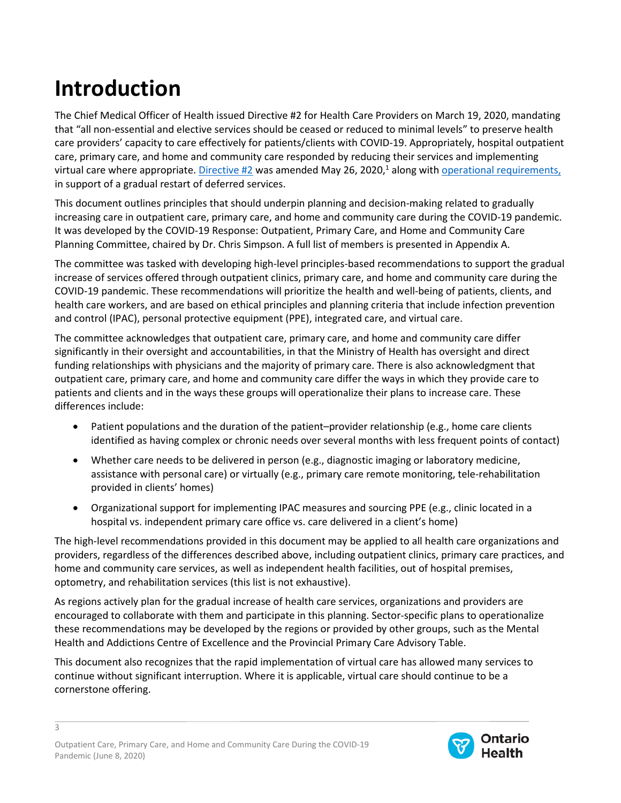# **Introduction**

The Chief Medical Officer of Health issued Directive #2 for Health Care Providers on March 19, 2020, mandating that "all non-essential and elective services should be ceased or reduced to minimal levels" to preserve health care providers' capacity to care effectively for patients/clients with COVID-19. Appropriately, hospital outpatient care, primary care, and home and community care responded by reducing their services and implementing virtual care where appropriate. *Directive #2* was amended May 26, 2020,<sup>1</sup> along with **operational requirements**, in support of a gradual restart of deferred services.

This document outlines principles that should underpin planning and decision-making related to gradually increasing care in outpatient care, primary care, and home and community care during the COVID-19 pandemic. It was developed by the COVID-19 Response: Outpatient, Primary Care, and Home and Community Care Planning Committee, chaired by Dr. Chris Simpson. A full list of members is presented in Appendix A.

The committee was tasked with developing high-level principles-based recommendations to support the gradual increase of services offered through outpatient clinics, primary care, and home and community care during the COVID-19 pandemic. These recommendations will prioritize the health and well-being of patients, clients, and health care workers, and are based on ethical principles and planning criteria that include infection prevention and control (IPAC), personal protective equipment (PPE), integrated care, and virtual care.

The committee acknowledges that outpatient care, primary care, and home and community care differ significantly in their oversight and accountabilities, in that the Ministry of Health has oversight and direct funding relationships with physicians and the majority of primary care. There is also acknowledgment that outpatient care, primary care, and home and community care differ the ways in which they provide care to patients and clients and in the ways these groups will operationalize their plans to increase care. These differences include:

- Patient populations and the duration of the patient–provider relationship (e.g., home care clients identified as having complex or chronic needs over several months with less frequent points of contact)
- Whether care needs to be delivered in person (e.g., diagnostic imaging or laboratory medicine, assistance with personal care) or virtually (e.g., primary care remote monitoring, tele-rehabilitation provided in clients' homes)
- Organizational support for implementing IPAC measures and sourcing PPE (e.g., clinic located in a hospital vs. independent primary care office vs. care delivered in a client's home)

The high-level recommendations provided in this document may be applied to all health care organizations and providers, regardless of the differences described above, including outpatient clinics, primary care practices, and home and community care services, as well as independent health facilities, out of hospital premises, optometry, and rehabilitation services (this list is not exhaustive).

As regions actively plan for the gradual increase of health care services, organizations and providers are encouraged to collaborate with them and participate in this planning. Sector-specific plans to operationalize these recommendations may be developed by the regions or provided by other groups, such as the Mental Health and Addictions Centre of Excellence and the Provincial Primary Care Advisory Table.

This document also recognizes that the rapid implementation of virtual care has allowed many services to continue without significant interruption. Where it is applicable, virtual care should continue to be a cornerstone offering.

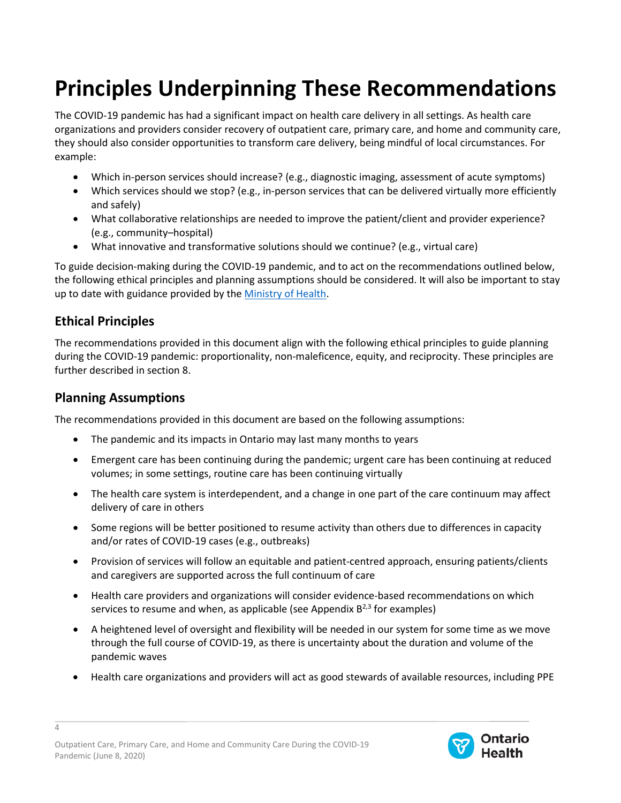# **Principles Underpinning These Recommendations**

The COVID-19 pandemic has had a significant impact on health care delivery in all settings. As health care organizations and providers consider recovery of outpatient care, primary care, and home and community care, they should also consider opportunities to transform care delivery, being mindful of local circumstances. For example:

- Which in-person services should increase? (e.g., diagnostic imaging, assessment of acute symptoms)
- Which services should we stop? (e.g., in-person services that can be delivered virtually more efficiently and safely)
- What collaborative relationships are needed to improve the patient/client and provider experience? (e.g., community–hospital)
- What innovative and transformative solutions should we continue? (e.g., virtual care)

To guide decision-making during the COVID-19 pandemic, and to act on the recommendations outlined below, the following ethical principles and planning assumptions should be considered. It will also be important to stay up to date with guidance provided by the [Ministry of Health.](http://www.health.gov.on.ca/en/pro/programs/publichealth/coronavirus/2019_guidance.aspx)

#### **Ethical Principles**

The recommendations provided in this document align with the following ethical principles to guide planning during the COVID-19 pandemic: proportionality, non-maleficence, equity, and reciprocity. These principles are further described in section 8.

#### **Planning Assumptions**

4

The recommendations provided in this document are based on the following assumptions:

- The pandemic and its impacts in Ontario may last many months to years
- Emergent care has been continuing during the pandemic; urgent care has been continuing at reduced volumes; in some settings, routine care has been continuing virtually
- The health care system is interdependent, and a change in one part of the care continuum may affect delivery of care in others
- Some regions will be better positioned to resume activity than others due to differences in capacity and/or rates of COVID-19 cases (e.g., outbreaks)
- Provision of services will follow an equitable and patient-centred approach, ensuring patients/clients and caregivers are supported across the full continuum of care
- Health care providers and organizations will consider evidence-based recommendations on which services to resume and when, as applicable (see Appendix  $B^{2,3}$  for examples)
- A heightened level of oversight and flexibility will be needed in our system for some time as we move through the full course of COVID-19, as there is uncertainty about the duration and volume of the pandemic waves
- Health care organizations and providers will act as good stewards of available resources, including PPE

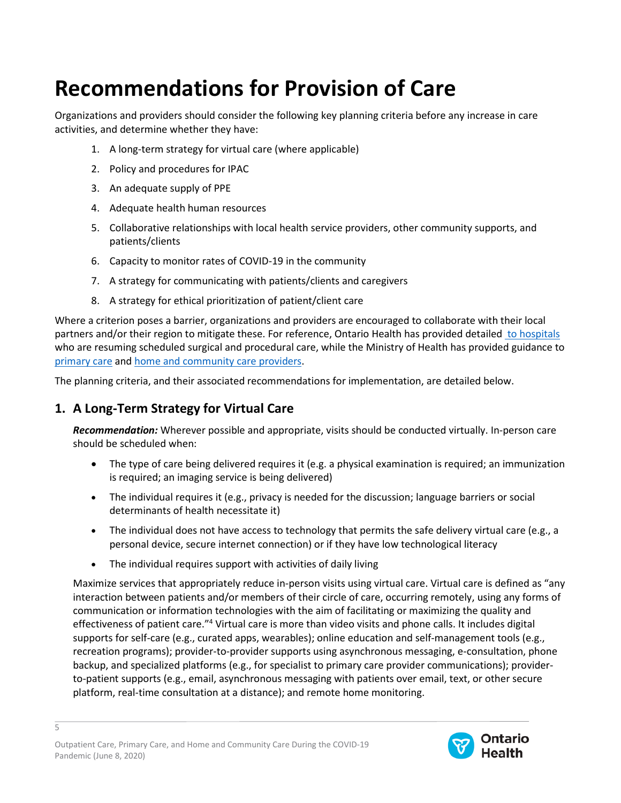# **Recommendations for Provision of Care**

Organizations and providers should consider the following key planning criteria before any increase in care activities, and determine whether they have:

- 1. A long-term strategy for virtual care (where applicable)
- 2. Policy and procedures for IPAC
- 3. An adequate supply of PPE
- 4. Adequate health human resources
- 5. Collaborative relationships with local health service providers, other community supports, and patients/clients
- 6. Capacity to monitor rates of COVID-19 in the community
- 7. A strategy for communicating with patients/clients and caregivers
- 8. A strategy for ethical prioritization of patient/client care

Where a criterion poses a barrier, organizations and providers are encouraged to collaborate with their local partners and/or their region to mitigate these. For reference, Ontario Health has provided detailed [to hospitals](https://www.ontariohealth.ca/sites/ontariohealth/files/2020-05/A%20Measured%20Approach%20to%20Planning%20for%20Surgeries%20and%20Procedures%20During%20the%20COVID-19%20Pandemic.pdf) who are resuming scheduled surgical and procedural care, while the Ministry of Health has provided guidance to [primary care](http://www.health.gov.on.ca/en/pro/programs/publichealth/coronavirus/docs/2019_primary_care_guidance.pdf) an[d home and community care providers.](http://www.health.gov.on.ca/en/pro/programs/publichealth/coronavirus/docs/2019_home_community_care_guidance.pdf)

The planning criteria, and their associated recommendations for implementation, are detailed below.

#### **1. A Long-Term Strategy for Virtual Care**

*Recommendation:* Wherever possible and appropriate, visits should be conducted virtually. In-person care should be scheduled when:

- The type of care being delivered requires it (e.g. a physical examination is required; an immunization is required; an imaging service is being delivered)
- The individual requires it (e.g., privacy is needed for the discussion; language barriers or social determinants of health necessitate it)
- The individual does not have access to technology that permits the safe delivery virtual care (e.g., a personal device, secure internet connection) or if they have low technological literacy
- The individual requires support with activities of daily living

Maximize services that appropriately reduce in-person visits using virtual care. Virtual care is defined as "any interaction between patients and/or members of their circle of care, occurring remotely, using any forms of communication or information technologies with the aim of facilitating or maximizing the quality and effectiveness of patient care."<sup>4</sup> Virtual care is more than video visits and phone calls. It includes digital supports for self-care (e.g., curated apps, wearables); online education and self-management tools (e.g., recreation programs); provider-to-provider supports using asynchronous messaging, e-consultation, phone backup, and specialized platforms (e.g., for specialist to primary care provider communications); providerto-patient supports (e.g., email, asynchronous messaging with patients over email, text, or other secure platform, real-time consultation at a distance); and remote home monitoring.

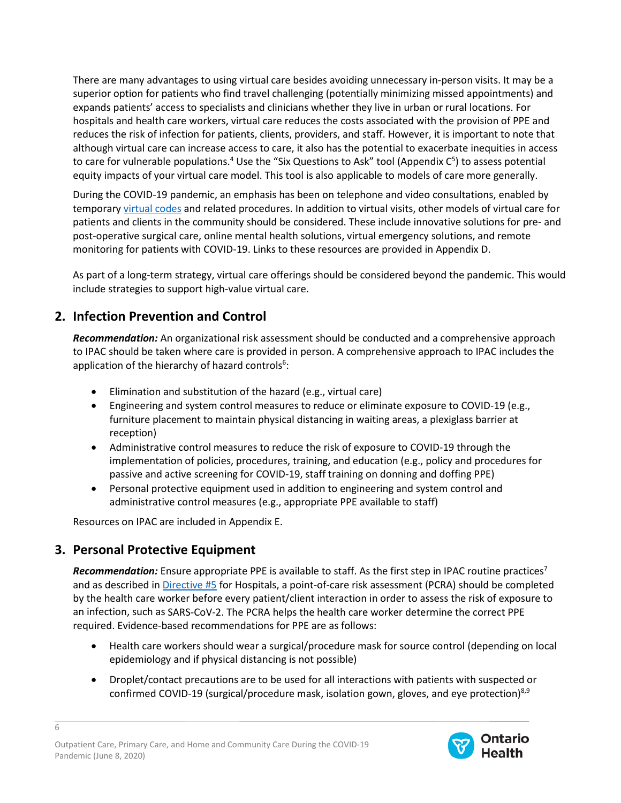There are many advantages to using virtual care besides avoiding unnecessary in-person visits. It may be a superior option for patients who find travel challenging (potentially minimizing missed appointments) and expands patients' access to specialists and clinicians whether they live in urban or rural locations. For hospitals and health care workers, virtual care reduces the costs associated with the provision of PPE and reduces the risk of infection for patients, clients, providers, and staff. However, it is important to note that although virtual care can increase access to care, it also has the potential to exacerbate inequities in access to care for vulnerable populations.<sup>4</sup> Use the "Six Questions to Ask" tool (Appendix  $C^5$ ) to assess potential equity impacts of your virtual care model. This tool is also applicable to models of care more generally.

During the COVID-19 pandemic, an emphasis has been on telephone and video consultations, enabled by temporary [virtual codes](http://www.health.gov.on.ca/en/pro/programs/ohip/bulletins/4000/bul4731.aspx) and related procedures. In addition to virtual visits, other models of virtual care for patients and clients in the community should be considered. These include innovative solutions for pre- and post-operative surgical care, online mental health solutions, virtual emergency solutions, and remote monitoring for patients with COVID-19. Links to these resources are provided in Appendix D.

As part of a long-term strategy, virtual care offerings should be considered beyond the pandemic. This would include strategies to support high-value virtual care.

### **2. Infection Prevention and Control**

*Recommendation:* An organizational risk assessment should be conducted and a comprehensive approach to IPAC should be taken where care is provided in person. A comprehensive approach to IPAC includes the application of the hierarchy of hazard controls<sup>6</sup>:

- Elimination and substitution of the hazard (e.g., virtual care)
- Engineering and system control measures to reduce or eliminate exposure to COVID-19 (e.g., furniture placement to maintain physical distancing in waiting areas, a plexiglass barrier at reception)
- Administrative control measures to reduce the risk of exposure to COVID-19 through the implementation of policies, procedures, training, and education (e.g., policy and procedures for passive and active screening for COVID-19, staff training on donning and doffing PPE)
- Personal protective equipment used in addition to engineering and system control and administrative control measures (e.g., appropriate PPE available to staff)

Resources on IPAC are included in Appendix E.

#### **3. Personal Protective Equipment**

6

**Recommendation:** Ensure appropriate PPE is available to staff. As the first step in IPAC routine practices<sup>7</sup> and as described in [Directive #5](http://www.health.gov.on.ca/en/pro/programs/publichealth/coronavirus/docs/directives/public_hospitals_act.pdf) for Hospitals, a point-of-care risk assessment (PCRA) should be completed by the health care worker before every patient/client interaction in order to assess the risk of exposure to an infection, such as SARS-CoV-2. The PCRA helps the health care worker determine the correct PPE required. Evidence-based recommendations for PPE are as follows:

- Health care workers should wear a surgical/procedure mask for source control (depending on local epidemiology and if physical distancing is not possible)
- Droplet/contact precautions are to be used for all interactions with patients with suspected or confirmed COVID-19 (surgical/procedure mask, isolation gown, gloves, and eye protection)<sup>8,9</sup>

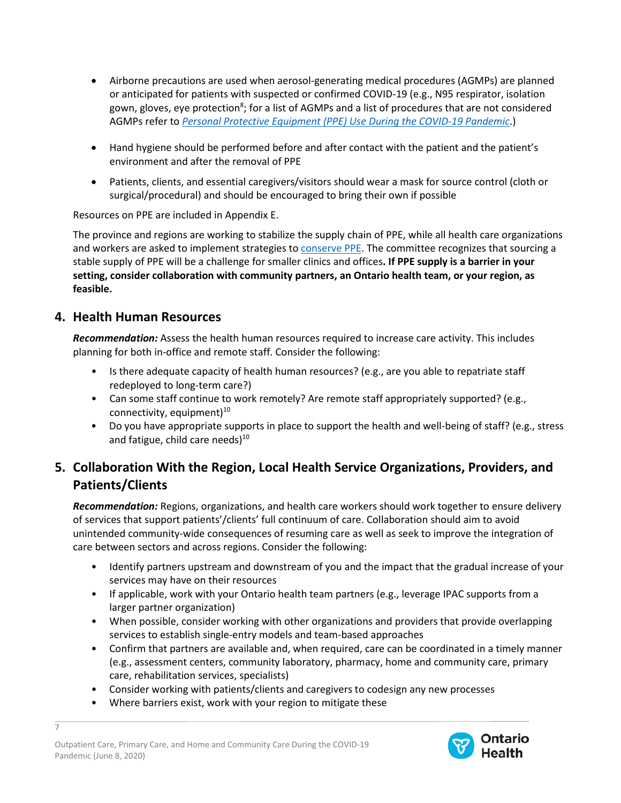- Airborne precautions are used when aerosol-generating medical procedures (AGMPs) are planned or anticipated for patients with suspected or confirmed COVID-19 (e.g., N95 respirator, isolation gown, gloves, eye protection<sup>8</sup>; for a list of AGMPs and a list of procedures that are not considered AGMPs refer to *[Personal Protective Equipment \(PPE\) Use During the COVID-19](https://www.ontariohealth.ca/sites/ontariohealth/files/2020-05/Ontario%20Health%20Personal%20Protective%20Equipment%20Use%20During%20the%20COVID-19%20Pandemic_rev10May20%20PDF_v2.pdf) Pandemic*.)
- Hand hygiene should be performed before and after contact with the patient and the patient's environment and after the removal of PPE
- Patients, clients, and essential caregivers/visitors should wear a mask for source control (cloth or surgical/procedural) and should be encouraged to bring their own if possible

Resources on PPE are included in Appendix E.

The province and regions are working to stabilize the supply chain of PPE, while all health care organizations and workers are asked to implement strategies t[o conserve PPE.](https://www.ontariohealth.ca/sites/ontariohealth/files/2020-05/Ontario%20Health%20Personal%20Protective%20Equipment%20Use%20During%20the%20COVID-19%20Pandemic_rev10May20%20PDF_v2.pdf) The committee recognizes that sourcing a stable supply of PPE will be a challenge for smaller clinics and offices**. If PPE supply is a barrier in your setting, consider collaboration with community partners, an Ontario health team, or your region, as feasible.**

#### **4. Health Human Resources**

*Recommendation:* Assess the health human resources required to increase care activity. This includes planning for both in-office and remote staff. Consider the following:

- Is there adequate capacity of health human resources? (e.g., are you able to repatriate staff redeployed to long-term care?)
- Can some staff continue to work remotely? Are remote staff appropriately supported? (e.g., connectivity, equipment)<sup>10</sup>
- Do you have appropriate supports in place to support the health and well-being of staff? (e.g., stress and fatigue, child care needs)<sup>10</sup>

## **5. Collaboration With the Region, Local Health Service Organizations, Providers, and Patients/Clients**

*Recommendation:* Regions, organizations, and health care workers should work together to ensure delivery of services that support patients'/clients' full continuum of care. Collaboration should aim to avoid unintended community-wide consequences of resuming care as well as seek to improve the integration of care between sectors and across regions. Consider the following:

- Identify partners upstream and downstream of you and the impact that the gradual increase of your services may have on their resources
- If applicable, work with your Ontario health team partners (e.g., leverage IPAC supports from a larger partner organization)
- When possible, consider working with other organizations and providers that provide overlapping services to establish single-entry models and team-based approaches
- Confirm that partners are available and, when required, care can be coordinated in a timely manner (e.g., assessment centers, community laboratory, pharmacy, home and community care, primary care, rehabilitation services, specialists)
- Consider working with patients/clients and caregivers to codesign any new processes
- Where barriers exist, work with your region to mitigate these

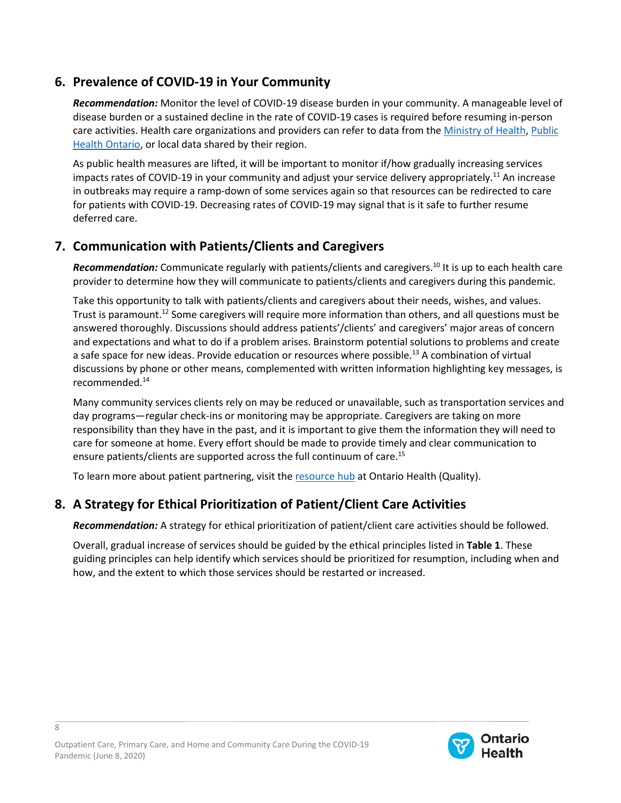### **6. Prevalence of COVID-19 in Your Community**

*Recommendation:* Monitor the level of COVID-19 disease burden in your community. A manageable level of disease burden or a sustained decline in the rate of COVID-19 cases is required before resuming in-person care activities. Health care organizations and providers can refer to data from the [Ministry of Health,](https://www.ontario.ca/page/how-ontario-is-responding-covid-19#section-0) [Public](https://www.publichealthontario.ca/en/data-and-analysis/infectious-disease/covid-19-data-surveillance/covid-19-data-tool)  [Health Ontario,](https://www.publichealthontario.ca/en/data-and-analysis/infectious-disease/covid-19-data-surveillance/covid-19-data-tool) or local data shared by their region.

As public health measures are lifted, it will be important to monitor if/how gradually increasing services impacts rates of COVID-19 in your community and adjust your service delivery appropriately.11 An increase in outbreaks may require a ramp-down of some services again so that resources can be redirected to care for patients with COVID-19. Decreasing rates of COVID-19 may signal that is it safe to further resume deferred care.

### **7. Communication with Patients/Clients and Caregivers**

*Recommendation:* Communicate regularly with patients/clients and caregivers. <sup>10</sup> It is up to each health care provider to determine how they will communicate to patients/clients and caregivers during this pandemic.

Take this opportunity to talk with patients/clients and caregivers about their needs, wishes, and values. Trust is paramount.<sup>12</sup> Some caregivers will require more information than others, and all questions must be answered thoroughly. Discussions should address patients'/clients' and caregivers' major areas of concern and expectations and what to do if a problem arises. Brainstorm potential solutions to problems and create a safe space for new ideas. Provide education or resources where possible.<sup>13</sup> A combination of virtual discussions by phone or other means, complemented with written information highlighting key messages, is recommended.14

Many community services clients rely on may be reduced or unavailable, such as transportation services and day programs—regular check-ins or monitoring may be appropriate. Caregivers are taking on more responsibility than they have in the past, and it is important to give them the information they will need to care for someone at home. Every effort should be made to provide timely and clear communication to ensure patients/clients are supported across the full continuum of care.<sup>15</sup>

To learn more about patient partnering, visit the [resource hub](https://www.hqontario.ca/Patient-Partnering/Patient-Partnering-Tools-and-Resources/Resources-for-Health-Care-Providers) at Ontario Health (Quality).

### **8. A Strategy for Ethical Prioritization of Patient/Client Care Activities**

*Recommendation:* A strategy for ethical prioritization of patient/client care activities should be followed.

Overall, gradual increase of services should be guided by the ethical principles listed in **Table 1**. These guiding principles can help identify which services should be prioritized for resumption, including when and how, and the extent to which those services should be restarted or increased.

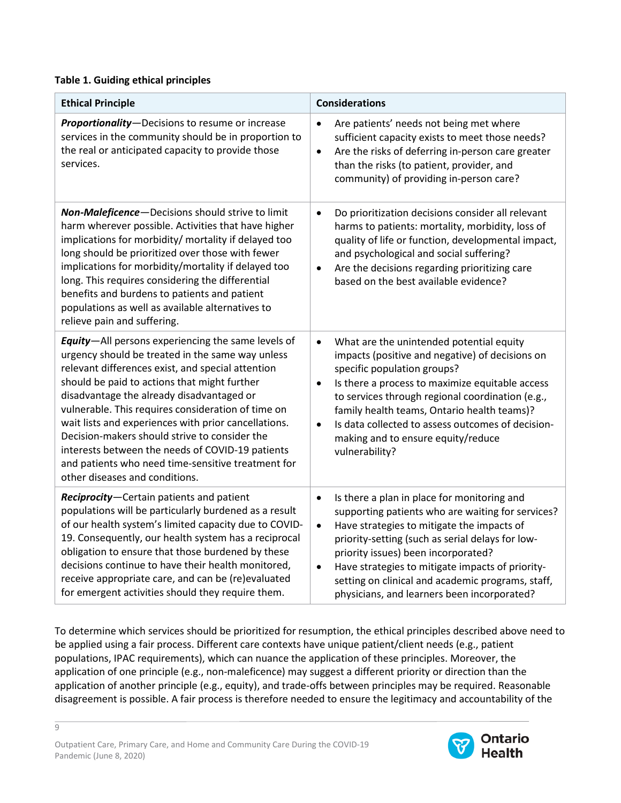#### **Table 1. Guiding ethical principles**

| <b>Ethical Principle</b>                                                                                                                                                                                                                                                                                                                                                                                                                                                                                                                                                    | <b>Considerations</b>                                                                                                                                                                                                                                                                                                                                                                                                                    |
|-----------------------------------------------------------------------------------------------------------------------------------------------------------------------------------------------------------------------------------------------------------------------------------------------------------------------------------------------------------------------------------------------------------------------------------------------------------------------------------------------------------------------------------------------------------------------------|------------------------------------------------------------------------------------------------------------------------------------------------------------------------------------------------------------------------------------------------------------------------------------------------------------------------------------------------------------------------------------------------------------------------------------------|
| Proportionality-Decisions to resume or increase<br>services in the community should be in proportion to<br>the real or anticipated capacity to provide those<br>services.                                                                                                                                                                                                                                                                                                                                                                                                   | Are patients' needs not being met where<br>$\bullet$<br>sufficient capacity exists to meet those needs?<br>Are the risks of deferring in-person care greater<br>$\bullet$<br>than the risks (to patient, provider, and<br>community) of providing in-person care?                                                                                                                                                                        |
| Non-Maleficence-Decisions should strive to limit<br>harm wherever possible. Activities that have higher<br>implications for morbidity/ mortality if delayed too<br>long should be prioritized over those with fewer<br>implications for morbidity/mortality if delayed too<br>long. This requires considering the differential<br>benefits and burdens to patients and patient<br>populations as well as available alternatives to<br>relieve pain and suffering.                                                                                                           | Do prioritization decisions consider all relevant<br>$\bullet$<br>harms to patients: mortality, morbidity, loss of<br>quality of life or function, developmental impact,<br>and psychological and social suffering?<br>Are the decisions regarding prioritizing care<br>$\bullet$<br>based on the best available evidence?                                                                                                               |
| <b>Equity</b> -All persons experiencing the same levels of<br>urgency should be treated in the same way unless<br>relevant differences exist, and special attention<br>should be paid to actions that might further<br>disadvantage the already disadvantaged or<br>vulnerable. This requires consideration of time on<br>wait lists and experiences with prior cancellations.<br>Decision-makers should strive to consider the<br>interests between the needs of COVID-19 patients<br>and patients who need time-sensitive treatment for<br>other diseases and conditions. | What are the unintended potential equity<br>$\bullet$<br>impacts (positive and negative) of decisions on<br>specific population groups?<br>Is there a process to maximize equitable access<br>$\bullet$<br>to services through regional coordination (e.g.,<br>family health teams, Ontario health teams)?<br>Is data collected to assess outcomes of decision-<br>$\bullet$<br>making and to ensure equity/reduce<br>vulnerability?     |
| Reciprocity-Certain patients and patient<br>populations will be particularly burdened as a result<br>of our health system's limited capacity due to COVID-<br>19. Consequently, our health system has a reciprocal<br>obligation to ensure that those burdened by these<br>decisions continue to have their health monitored,<br>receive appropriate care, and can be (re)evaluated<br>for emergent activities should they require them.                                                                                                                                    | Is there a plan in place for monitoring and<br>$\bullet$<br>supporting patients who are waiting for services?<br>Have strategies to mitigate the impacts of<br>$\bullet$<br>priority-setting (such as serial delays for low-<br>priority issues) been incorporated?<br>Have strategies to mitigate impacts of priority-<br>$\bullet$<br>setting on clinical and academic programs, staff,<br>physicians, and learners been incorporated? |

To determine which services should be prioritized for resumption, the ethical principles described above need to be applied using a fair process. Different care contexts have unique patient/client needs (e.g., patient populations, IPAC requirements), which can nuance the application of these principles. Moreover, the application of one principle (e.g., non-maleficence) may suggest a different priority or direction than the application of another principle (e.g., equity), and trade-offs between principles may be required. Reasonable disagreement is possible. A fair process is therefore needed to ensure the legitimacy and accountability of the

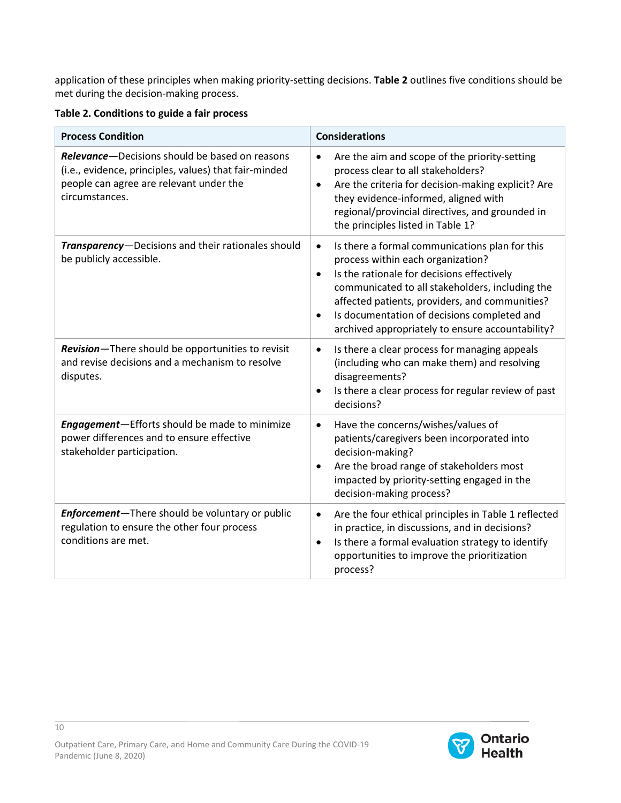application of these principles when making priority-setting decisions. **Table 2** outlines five conditions should be met during the decision-making process.

#### **Table 2. Conditions to guide a fair process**

| <b>Process Condition</b>                                                                                                                                             | <b>Considerations</b>                                                                                                                                                                                                                                                                                                                                                            |
|----------------------------------------------------------------------------------------------------------------------------------------------------------------------|----------------------------------------------------------------------------------------------------------------------------------------------------------------------------------------------------------------------------------------------------------------------------------------------------------------------------------------------------------------------------------|
| Relevance-Decisions should be based on reasons<br>(i.e., evidence, principles, values) that fair-minded<br>people can agree are relevant under the<br>circumstances. | Are the aim and scope of the priority-setting<br>$\bullet$<br>process clear to all stakeholders?<br>Are the criteria for decision-making explicit? Are<br>$\bullet$<br>they evidence-informed, aligned with<br>regional/provincial directives, and grounded in<br>the principles listed in Table 1?                                                                              |
| Transparency-Decisions and their rationales should<br>be publicly accessible.                                                                                        | Is there a formal communications plan for this<br>$\bullet$<br>process within each organization?<br>Is the rationale for decisions effectively<br>$\bullet$<br>communicated to all stakeholders, including the<br>affected patients, providers, and communities?<br>Is documentation of decisions completed and<br>$\bullet$<br>archived appropriately to ensure accountability? |
| Revision-There should be opportunities to revisit<br>and revise decisions and a mechanism to resolve<br>disputes.                                                    | Is there a clear process for managing appeals<br>$\bullet$<br>(including who can make them) and resolving<br>disagreements?<br>Is there a clear process for regular review of past<br>$\bullet$<br>decisions?                                                                                                                                                                    |
| Engagement-Efforts should be made to minimize<br>power differences and to ensure effective<br>stakeholder participation.                                             | Have the concerns/wishes/values of<br>$\bullet$<br>patients/caregivers been incorporated into<br>decision-making?<br>Are the broad range of stakeholders most<br>$\bullet$<br>impacted by priority-setting engaged in the<br>decision-making process?                                                                                                                            |
| Enforcement-There should be voluntary or public<br>regulation to ensure the other four process<br>conditions are met.                                                | Are the four ethical principles in Table 1 reflected<br>$\bullet$<br>in practice, in discussions, and in decisions?<br>Is there a formal evaluation strategy to identify<br>$\bullet$<br>opportunities to improve the prioritization<br>process?                                                                                                                                 |

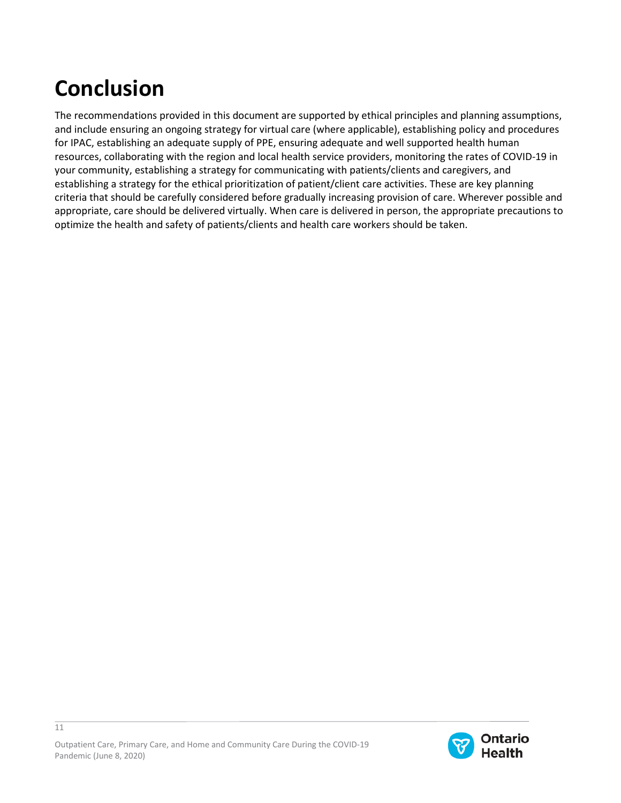# **Conclusion**

The recommendations provided in this document are supported by ethical principles and planning assumptions, and include ensuring an ongoing strategy for virtual care (where applicable), establishing policy and procedures for IPAC, establishing an adequate supply of PPE, ensuring adequate and well supported health human resources, collaborating with the region and local health service providers, monitoring the rates of COVID-19 in your community, establishing a strategy for communicating with patients/clients and caregivers, and establishing a strategy for the ethical prioritization of patient/client care activities. These are key planning criteria that should be carefully considered before gradually increasing provision of care. Wherever possible and appropriate, care should be delivered virtually. When care is delivered in person, the appropriate precautions to optimize the health and safety of patients/clients and health care workers should be taken.

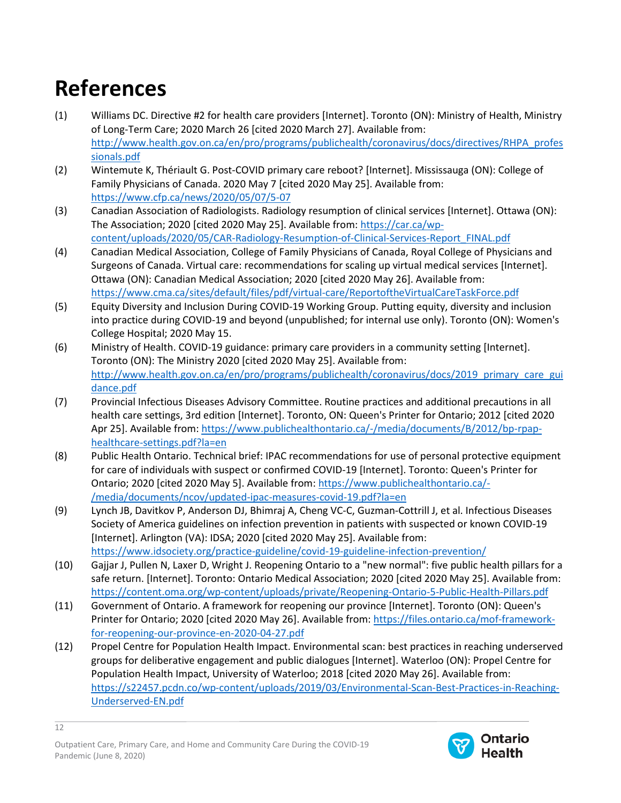# **References**

- (1) Williams DC. Directive #2 for health care providers [Internet]. Toronto (ON): Ministry of Health, Ministry of Long-Term Care; 2020 March 26 [cited 2020 March 27]. Available from: [http://www.health.gov.on.ca/en/pro/programs/publichealth/coronavirus/docs/directives/RHPA\\_profes](http://www.health.gov.on.ca/en/pro/programs/publichealth/coronavirus/docs/directives/RHPA_professionals.pdf) [sionals.pdf](http://www.health.gov.on.ca/en/pro/programs/publichealth/coronavirus/docs/directives/RHPA_professionals.pdf)
- (2) Wintemute K, Thériault G. Post-COVID primary care reboot? [Internet]. Mississauga (ON): College of Family Physicians of Canada. 2020 May 7 [cited 2020 May 25]. Available from: <https://www.cfp.ca/news/2020/05/07/5-07>
- (3) Canadian Association of Radiologists. Radiology resumption of clinical services [Internet]. Ottawa (ON): The Association; 2020 [cited 2020 May 25]. Available from: [https://car.ca/wp](https://car.ca/wp-content/uploads/2020/05/CAR-Radiology-Resumption-of-Clinical-Services-Report_FINAL.pdf)[content/uploads/2020/05/CAR-Radiology-Resumption-of-Clinical-Services-Report\\_FINAL.pdf](https://car.ca/wp-content/uploads/2020/05/CAR-Radiology-Resumption-of-Clinical-Services-Report_FINAL.pdf)
- (4) Canadian Medical Association, College of Family Physicians of Canada, Royal College of Physicians and Surgeons of Canada. Virtual care: recommendations for scaling up virtual medical services [Internet]. Ottawa (ON): Canadian Medical Association; 2020 [cited 2020 May 26]. Available from: <https://www.cma.ca/sites/default/files/pdf/virtual-care/ReportoftheVirtualCareTaskForce.pdf>
- (5) Equity Diversity and Inclusion During COVID-19 Working Group. Putting equity, diversity and inclusion into practice during COVID-19 and beyond (unpublished; for internal use only). Toronto (ON): Women's College Hospital; 2020 May 15.
- (6) Ministry of Health. COVID-19 guidance: primary care providers in a community setting [Internet]. Toronto (ON): The Ministry 2020 [cited 2020 May 25]. Available from: [http://www.health.gov.on.ca/en/pro/programs/publichealth/coronavirus/docs/2019\\_primary\\_care\\_gui](http://www.health.gov.on.ca/en/pro/programs/publichealth/coronavirus/docs/2019_primary_care_guidance.pdf) [dance.pdf](http://www.health.gov.on.ca/en/pro/programs/publichealth/coronavirus/docs/2019_primary_care_guidance.pdf)
- (7) Provincial Infectious Diseases Advisory Committee. Routine practices and additional precautions in all health care settings, 3rd edition [Internet]. Toronto, ON: Queen's Printer for Ontario; 2012 [cited 2020 Apr 25]. Available from[: https://www.publichealthontario.ca/-/media/documents/B/2012/bp-rpap](https://www.publichealthontario.ca/-/media/documents/B/2012/bp-rpap-healthcare-settings.pdf?la=en)[healthcare-settings.pdf?la=en](https://www.publichealthontario.ca/-/media/documents/B/2012/bp-rpap-healthcare-settings.pdf?la=en)
- (8) Public Health Ontario. Technical brief: IPAC recommendations for use of personal protective equipment for care of individuals with suspect or confirmed COVID-19 [Internet]. Toronto: Queen's Printer for Ontario; 2020 [cited 2020 May 5]. Available from: [https://www.publichealthontario.ca/-](https://www.publichealthontario.ca/-/media/documents/ncov/updated-ipac-measures-covid-19.pdf?la=en) [/media/documents/ncov/updated-ipac-measures-covid-19.pdf?la=en](https://www.publichealthontario.ca/-/media/documents/ncov/updated-ipac-measures-covid-19.pdf?la=en)
- (9) Lynch JB, Davitkov P, Anderson DJ, Bhimraj A, Cheng VC-C, Guzman-Cottrill J, et al. Infectious Diseases Society of America guidelines on infection prevention in patients with suspected or known COVID-19 [Internet]. Arlington (VA): IDSA; 2020 [cited 2020 May 25]. Available from: <https://www.idsociety.org/practice-guideline/covid-19-guideline-infection-prevention/>
- (10) Gajjar J, Pullen N, Laxer D, Wright J. Reopening Ontario to a "new normal": five public health pillars for a safe return. [Internet]. Toronto: Ontario Medical Association; 2020 [cited 2020 May 25]. Available from: <https://content.oma.org/wp-content/uploads/private/Reopening-Ontario-5-Public-Health-Pillars.pdf>
- (11) Government of Ontario. A framework for reopening our province [Internet]. Toronto (ON): Queen's Printer for Ontario; 2020 [cited 2020 May 26]. Available from: [https://files.ontario.ca/mof-framework](https://files.ontario.ca/mof-framework-for-reopening-our-province-en-2020-04-27.pdf)[for-reopening-our-province-en-2020-04-27.pdf](https://files.ontario.ca/mof-framework-for-reopening-our-province-en-2020-04-27.pdf)
- (12) Propel Centre for Population Health Impact. Environmental scan: best practices in reaching underserved groups for deliberative engagement and public dialogues [Internet]. Waterloo (ON): Propel Centre for Population Health Impact, University of Waterloo; 2018 [cited 2020 May 26]. Available from: [https://s22457.pcdn.co/wp-content/uploads/2019/03/Environmental-Scan-Best-Practices-in-Reaching-](https://s22457.pcdn.co/wp-content/uploads/2019/03/Environmental-Scan-Best-Practices-in-Reaching-Underserved-EN.pdf)[Underserved-EN.pdf](https://s22457.pcdn.co/wp-content/uploads/2019/03/Environmental-Scan-Best-Practices-in-Reaching-Underserved-EN.pdf)



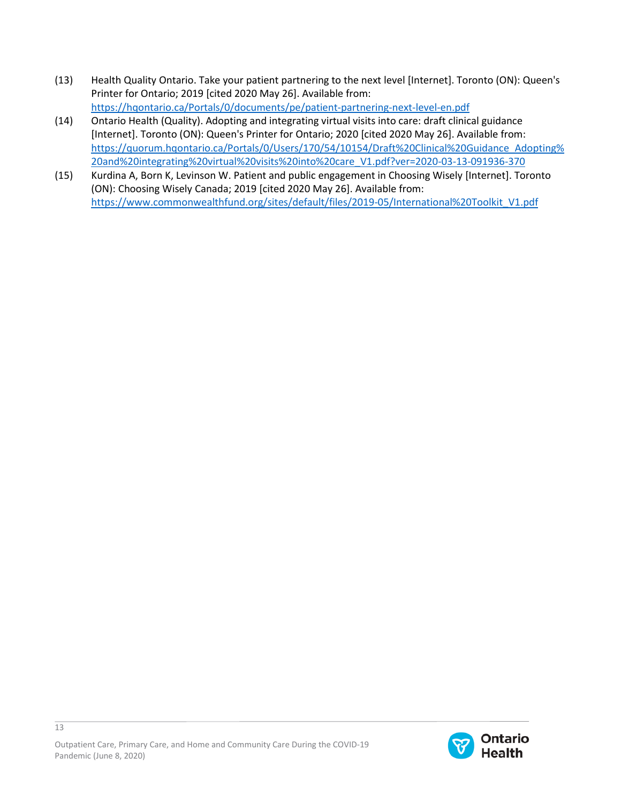- (13) Health Quality Ontario. Take your patient partnering to the next level [Internet]. Toronto (ON): Queen's Printer for Ontario; 2019 [cited 2020 May 26]. Available from: <https://hqontario.ca/Portals/0/documents/pe/patient-partnering-next-level-en.pdf>
- (14) Ontario Health (Quality). Adopting and integrating virtual visits into care: draft clinical guidance [Internet]. Toronto (ON): Queen's Printer for Ontario; 2020 [cited 2020 May 26]. Available from: [https://quorum.hqontario.ca/Portals/0/Users/170/54/10154/Draft%20Clinical%20Guidance\\_Adopting%](https://quorum.hqontario.ca/Portals/0/Users/170/54/10154/Draft%20Clinical%20Guidance_Adopting%20and%20integrating%20virtual%20visits%20into%20care_V1.pdf?ver=2020-03-13-091936-370) [20and%20integrating%20virtual%20visits%20into%20care\\_V1.pdf?ver=2020-03-13-091936-370](https://quorum.hqontario.ca/Portals/0/Users/170/54/10154/Draft%20Clinical%20Guidance_Adopting%20and%20integrating%20virtual%20visits%20into%20care_V1.pdf?ver=2020-03-13-091936-370)
- (15) Kurdina A, Born K, Levinson W. Patient and public engagement in Choosing Wisely [Internet]. Toronto (ON): Choosing Wisely Canada; 2019 [cited 2020 May 26]. Available from: [https://www.commonwealthfund.org/sites/default/files/2019-05/International%20Toolkit\\_V1.pdf](https://www.commonwealthfund.org/sites/default/files/2019-05/International%20Toolkit_V1.pdf)

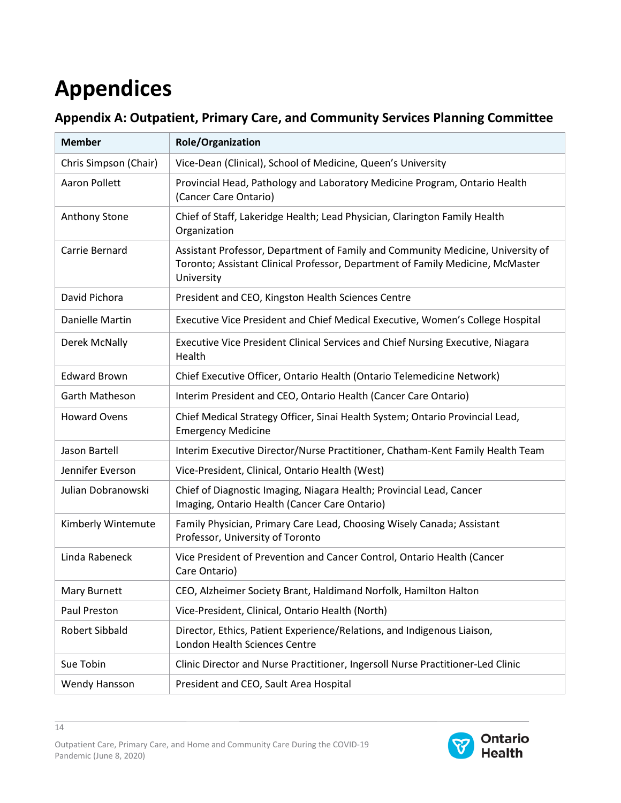# **Appendices**

|  | Appendix A: Outpatient, Primary Care, and Community Services Planning Committee |  |
|--|---------------------------------------------------------------------------------|--|
|  |                                                                                 |  |

| <b>Member</b>         | <b>Role/Organization</b>                                                                                                                                                        |
|-----------------------|---------------------------------------------------------------------------------------------------------------------------------------------------------------------------------|
| Chris Simpson (Chair) | Vice-Dean (Clinical), School of Medicine, Queen's University                                                                                                                    |
| <b>Aaron Pollett</b>  | Provincial Head, Pathology and Laboratory Medicine Program, Ontario Health<br>(Cancer Care Ontario)                                                                             |
| Anthony Stone         | Chief of Staff, Lakeridge Health; Lead Physician, Clarington Family Health<br>Organization                                                                                      |
| Carrie Bernard        | Assistant Professor, Department of Family and Community Medicine, University of<br>Toronto; Assistant Clinical Professor, Department of Family Medicine, McMaster<br>University |
| David Pichora         | President and CEO, Kingston Health Sciences Centre                                                                                                                              |
| Danielle Martin       | Executive Vice President and Chief Medical Executive, Women's College Hospital                                                                                                  |
| Derek McNally         | Executive Vice President Clinical Services and Chief Nursing Executive, Niagara<br>Health                                                                                       |
| <b>Edward Brown</b>   | Chief Executive Officer, Ontario Health (Ontario Telemedicine Network)                                                                                                          |
| <b>Garth Matheson</b> | Interim President and CEO, Ontario Health (Cancer Care Ontario)                                                                                                                 |
| <b>Howard Ovens</b>   | Chief Medical Strategy Officer, Sinai Health System; Ontario Provincial Lead,<br><b>Emergency Medicine</b>                                                                      |
| Jason Bartell         | Interim Executive Director/Nurse Practitioner, Chatham-Kent Family Health Team                                                                                                  |
| Jennifer Everson      | Vice-President, Clinical, Ontario Health (West)                                                                                                                                 |
| Julian Dobranowski    | Chief of Diagnostic Imaging, Niagara Health; Provincial Lead, Cancer<br>Imaging, Ontario Health (Cancer Care Ontario)                                                           |
| Kimberly Wintemute    | Family Physician, Primary Care Lead, Choosing Wisely Canada; Assistant<br>Professor, University of Toronto                                                                      |
| Linda Rabeneck        | Vice President of Prevention and Cancer Control, Ontario Health (Cancer<br>Care Ontario)                                                                                        |
| Mary Burnett          | CEO, Alzheimer Society Brant, Haldimand Norfolk, Hamilton Halton                                                                                                                |
| Paul Preston          | Vice-President, Clinical, Ontario Health (North)                                                                                                                                |
| Robert Sibbald        | Director, Ethics, Patient Experience/Relations, and Indigenous Liaison,<br>London Health Sciences Centre                                                                        |
| Sue Tobin             | Clinic Director and Nurse Practitioner, Ingersoll Nurse Practitioner-Led Clinic                                                                                                 |
| Wendy Hansson         | President and CEO, Sault Area Hospital                                                                                                                                          |

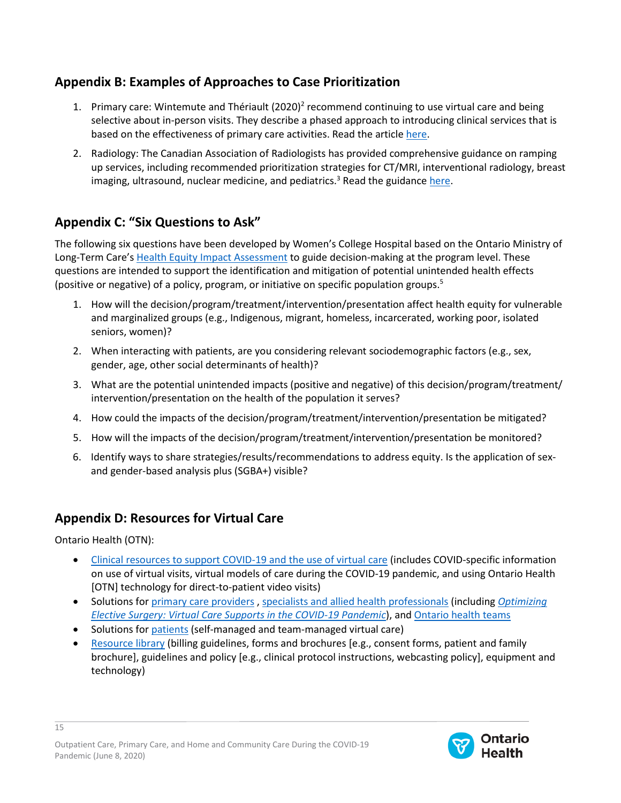### **Appendix B: Examples of Approaches to Case Prioritization**

- 1. Primary care: Wintemute and Thériault  $(2020)^2$  recommend continuing to use virtual care and being selective about in-person visits. They describe a phased approach to introducing clinical services that is based on the effectiveness of primary care activities. Read the articl[e here.](https://www.cfp.ca/news/2020/05/07/5-07)
- 2. Radiology: The Canadian Association of Radiologists has provided comprehensive guidance on ramping up services, including recommended prioritization strategies for CT/MRI, interventional radiology, breast imaging, ultrasound, nuclear medicine, and pediatrics.<sup>3</sup> Read the guidanc[e here.](https://car.ca/wp-content/uploads/2020/05/CAR-Radiology-Resumption-of-Clinical-Services-Report_FINAL.pdf)

### **Appendix C: "Six Questions to Ask"**

The following six questions have been developed by Women's College Hospital based on the Ontario Ministry of Long-Term Care'[s Health Equity Impact Assessment](http://www.health.gov.on.ca/en/pro/programs/heia/) to guide decision-making at the program level. These questions are intended to support the identification and mitigation of potential unintended health effects (positive or negative) of a policy, program, or initiative on specific population groups. 5

- 1. How will the decision/program/treatment/intervention/presentation affect health equity for vulnerable and marginalized groups (e.g., Indigenous, migrant, homeless, incarcerated, working poor, isolated seniors, women)?
- 2. When interacting with patients, are you considering relevant sociodemographic factors (e.g., sex, gender, age, other social determinants of health)?
- 3. What are the potential unintended impacts (positive and negative) of this decision/program/treatment/ intervention/presentation on the health of the population it serves?
- 4. How could the impacts of the decision/program/treatment/intervention/presentation be mitigated?
- 5. How will the impacts of the decision/program/treatment/intervention/presentation be monitored?
- 6. Identify ways to share strategies/results/recommendations to address equity. Is the application of sexand gender-based analysis plus (SGBA+) visible?

#### **Appendix D: Resources for Virtual Care**

Ontario Health (OTN):

- [Clinical resources to support COVID-19 and the use of virtual care](https://www.otn.ca/covid-19/) (includes COVID-specific information on use of virtual visits, virtual models of care during the COVID-19 pandemic, and using Ontario Health [OTN] technology for direct-to-patient video visits)
- Solutions for [primary care providers](https://www.otn.ca/providers/primary-care/) [, specialists and allied health professionals](https://www.otn.ca/providers/specialist-allied/) (including *[Optimizing](https://www.ontariohealth.ca/sites/ontariohealth/files/2020-05/Virtual%20Care%20Supports%20for%20Elective%20Surgery_22May2020_English.pdf)  [Elective Surgery:](https://www.ontariohealth.ca/sites/ontariohealth/files/2020-05/Virtual%20Care%20Supports%20for%20Elective%20Surgery_22May2020_English.pdf) Virtual Care Supports in the COVID-19 Pandemic*), an[d Ontario health teams](https://www.otn.ca/providers/ohts/)
- Solutions for [patients](https://www.otn.ca/patients/#team-managed-virtual-care) (self-managed and team-managed virtual care)
- [Resource library](https://support.otn.ca/en/members/resource-library) (billing guidelines, forms and brochures [e.g., consent forms, patient and family brochure], guidelines and policy [e.g., clinical protocol instructions, webcasting policy], equipment and technology)

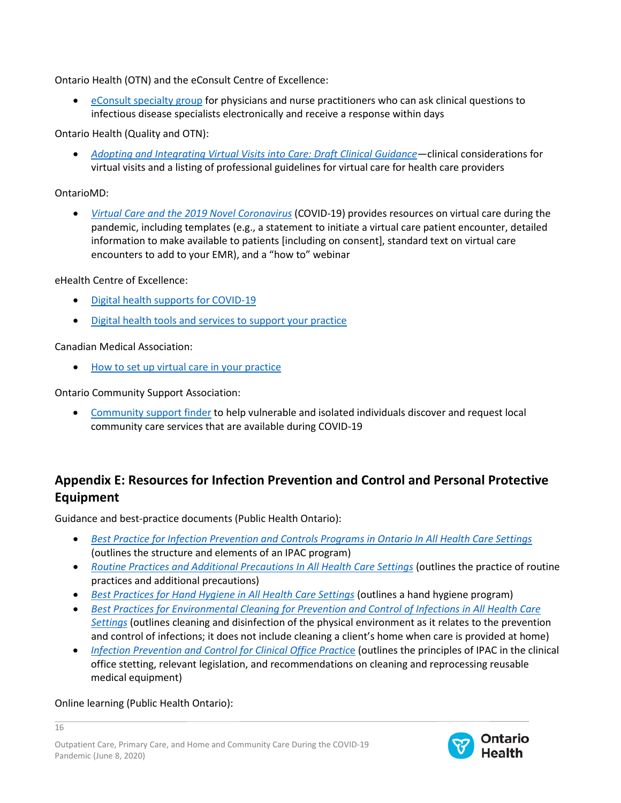Ontario Health (OTN) and the eConsult Centre of Excellence:

• [eConsult specialty group](https://econsultontario.ca/about-us/) for physicians and nurse practitioners who can ask clinical questions to infectious disease specialists electronically and receive a response within days

Ontario Health (Quality and OTN):

• *[Adopting and Integrating Virtual Visits into Care: Draft Clinical Guidance](https://quorum.hqontario.ca/Portals/0/Users/170/54/10154/Draft%20Clinical%20Guidance_Adopting%20and%20integrating%20virtual%20visits%20into%20care_V1.pdf?ver=2020-03-13-091936-370)*—clinical considerations for virtual visits and a listing of professional guidelines for virtual care for health care providers

#### OntarioMD:

• *[Virtual Care and the 2019 Novel Coronavirus](https://ontariomd.news/)* (COVID-19) provides resources on virtual care during the pandemic, including templates (e.g., a statement to initiate a virtual care patient encounter, detailed information to make available to patients [including on consent], standard text on virtual care encounters to add to your EMR), and a "how to" webinar

#### eHealth Centre of Excellence:

- [Digital health supports for COVID-19](http://ehealthce.ca/COVID-19.htm)
- [Digital health tools and services to support your practice](http://ehealthce.ca/Services.htm)

#### Canadian Medical Association:

• [How to set up virtual care in your practice](https://www.cma.ca/how-set-virtual-care-your-practice)

Ontario Community Support Association:

• [Community support finder](http://www.ocsa.on.ca/ontario-community-support-program-991067.html) to help vulnerable and isolated individuals discover and request local community care services that are available during COVID-19

### **Appendix E: Resources for Infection Prevention and Control and Personal Protective Equipment**

Guidance and best-practice documents (Public Health Ontario):

- *[Best Practice for Infection Prevention and Controls Programs in Ontario In All Health Care Settings](https://www.publichealthontario.ca/-/media/documents/b/2012/bp-ipac-hc-settings.pdf?la=en)* (outlines the structure and elements of an IPAC program)
- *[Routine Practices and Additional Precautions In All Health Care Settings](https://www.publichealthontario.ca/-/media/documents/b/2012/bp-rpap-healthcare-settings.pdf?la=en)* (outlines the practice of routine practices and additional precautions)
- *[Best Practices for Hand Hygiene in All Health Care Settings](https://www.publichealthontario.ca/-/media/documents/b/2014/bp-hand-hygiene.pdf?la=en)* (outlines a hand hygiene program)
- *[Best Practices for Environmental Cleaning for Prevention and Control of Infections in All Health Care](https://www.publichealthontario.ca/-/media/documents/b/2018/bp-environmental-cleaning.pdf?la=en)  [Settings](https://www.publichealthontario.ca/-/media/documents/b/2018/bp-environmental-cleaning.pdf?la=en)* (outlines cleaning and disinfection of the physical environment as it relates to the prevention and control of infections; it does not include cleaning a client's home when care is provided at home)
- *[Infection Prevention and Control for Clinical Office Practic](https://healthqualityontario.sharepoint.com/sites/CORE-VID/Shared%20Documents/Ambulatory%20Care%20Planning/3.%20Products/Infection%20Prevention%20and%20Control)*e (outlines the principles of IPAC in the clinical office stetting, relevant legislation, and recommendations on cleaning and reprocessing reusable medical equipment)

#### Online learning (Public Health Ontario):